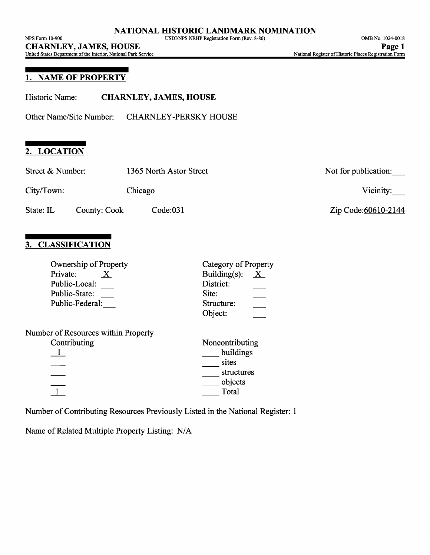# **1. NAME OF PROPERTY**

Other Name/Site Number: CHARNLEY-PERSKY HOUSE

# **2. LOCATION**

| Street & Number: |              | 1365 North Astor Street | Not for publication: |
|------------------|--------------|-------------------------|----------------------|
| City/Town:       |              | Chicago                 | Vicinity:            |
| State: IL        | County: Cook | Code:031                | Zip Code:60610-2144  |

\_\_ objects Total

# **3. CLASSIFICATION**

 $\frac{1}{1}$ 

| <b>Ownership of Property</b>        | <b>Category of Property</b>      |  |  |
|-------------------------------------|----------------------------------|--|--|
| Private:                            | Building $(s)$ :<br>$\mathbf{X}$ |  |  |
| Public-Local:                       | District:                        |  |  |
| Public-State:                       | Site:                            |  |  |
| Public-Federal:                     | Structure:                       |  |  |
|                                     | Object:                          |  |  |
| Number of Resources within Property |                                  |  |  |
| Contributing                        | Noncontributing                  |  |  |
|                                     | buildings                        |  |  |
|                                     | sites                            |  |  |
|                                     | structures                       |  |  |

Number of Contributing Resources Previously Listed in the National Register: 1

Name of Related Multiple Property Listing: N/A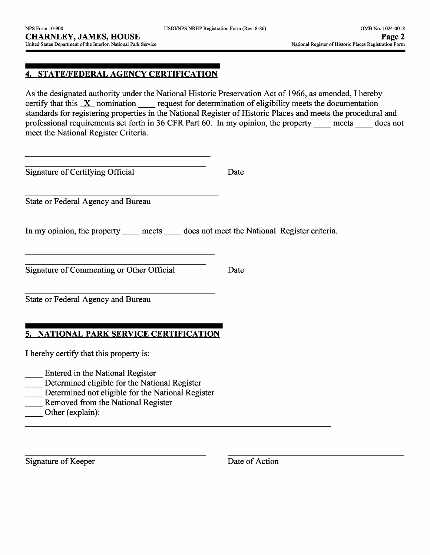# **4. STATE/FEDERAL AGENCY CERTIFICATION**

As the designated authority under the National Historic Preservation Act of 1966, as amended, I hereby certify that this  $X$  nomination request for determination of eligibility meets the documentation standards for registering properties in the National Register of Historic Places and meets the procedural and professional requirements set forth in 36 CFR Part 60. In my opinion, the property meets does not meet the National Register Criteria.

Signature of Certifying Official Date

State or Federal Agency and Bureau

In my opinion, the property meets does not meet the National Register criteria.

Signature of Commenting or Other Official Date

State or Federal Agency and Bureau

## **5. NATIONAL PARK SERVICE CERTIFICATION**

I hereby certify that this property is:

- \_\_ Entered in the National Register
- \_\_ Determined eligible for the National Register
- Determined not eligible for the National Register
- Removed from the National Register
- Other (explain):

Signature of Keeper Date of Action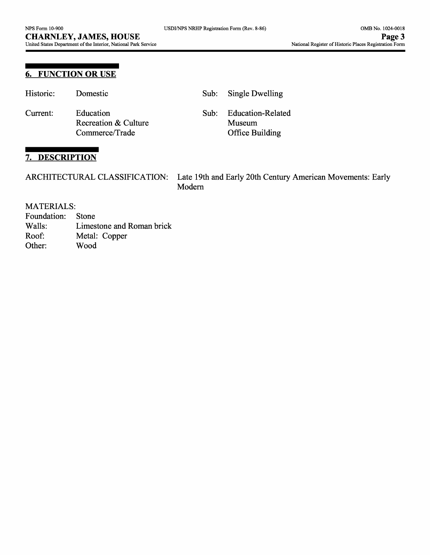## **6. FUNCTION OR USE**

| Historic: | Domestic                                            |      | Sub: Single Dwelling                                  |
|-----------|-----------------------------------------------------|------|-------------------------------------------------------|
| Current:  | Education<br>Recreation & Culture<br>Commerce/Trade | Sub: | <b>Education-Related</b><br>Museum<br>Office Building |

# **7. DESCRIPTION**

| ARCHITECTURAL CLASSIFICATION: Late 19th and Early 20th Century American Movements: Early |
|------------------------------------------------------------------------------------------|
| Modern                                                                                   |

#### MATERIALS:

- Foundation: Stone Walls: Limestone and Roman brick Roof: Metal: Copper
- Other: Wood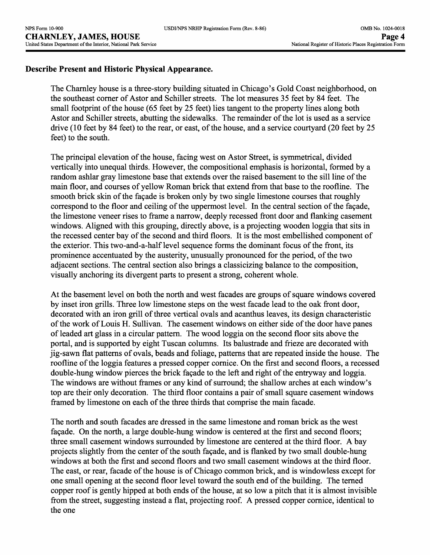#### **Describe Present and Historic Physical Appearance.**

The Charnley house is a three-story building situated in Chicago's Gold Coast neighborhood, on the southeast corner of Astor and Schiller streets. The lot measures 35 feet by 84 feet. The small footprint of the house (65 feet by 25 feet) lies tangent to the property lines along both Astor and Schiller streets, abutting the sidewalks. The remainder of the lot is used as a service drive (10 feet by 84 feet) to the rear, or east, of the house, and a service courtyard (20 feet by 25 feet) to the south.

The principal elevation of the house, facing west on Astor Street, is symmetrical, divided vertically into unequal thirds. However, the compositional emphasis is horizontal, formed by a random ashlar gray limestone base that extends over the raised basement to the sill line of the main floor, and courses of yellow Roman brick that extend from that base to the roofline. The smooth brick skin of the façade is broken only by two single limestone courses that roughly correspond to the floor and ceiling of the uppermost level. In the central section of the façade, the limestone veneer rises to frame a narrow, deeply recessed front door and flanking casement windows. Aligned with this grouping, directly above, is a projecting wooden loggia that sits in the recessed center bay of the second and third floors. It is the most embellished component of the exterior. This two-and-a-half level sequence forms the dominant focus of the front, its prominence accentuated by the austerity, unusually pronounced for the period, of the two adjacent sections. The central section also brings a classicizing balance to the composition, visually anchoring its divergent parts to present a strong, coherent whole.

At the basement level on both the north and west facades are groups of square windows covered by inset iron grills. Three low limestone steps on the west facade lead to the oak front door, decorated with an iron grill of three vertical ovals and acanthus leaves, its design characteristic of the work of Louis H. Sullivan. The casement windows on either side of the door have panes of leaded art glass in a circular pattern. The wood loggia on the second floor sits above the portal, and is supported by eight Tuscan columns. Its balustrade and frieze are decorated with jig-sawn flat patterns of ovals, beads and foliage, patterns that are repeated inside the house. The roofline of the loggia features a pressed copper cornice. On the first and second floors, a recessed double-hung window pierces the brick façade to the left and right of the entryway and loggia. The windows are without frames or any kind of surround; the shallow arches at each window's top are their only decoration. The third floor contains a pair of small square casement windows framed by limestone on each of the three thirds that comprise the main facade.

The north and south facades are dressed in the same limestone and roman brick as the west façade. On the north, a large double-hung window is centered at the first and second floors; three small casement windows surrounded by limestone are centered at the third floor. A bay projects slightly from the center of the south façade, and is flanked by two small double-hung windows at both the first and second floors and two small casement windows at the third floor. The east, or rear, facade of the house is of Chicago common brick, and is windowless except for one small opening at the second floor level toward the south end of the building. The terned copper roof is gently hipped at both ends of the house, at so low a pitch that it is almost invisible from the street, suggesting instead a flat, projecting roof. A pressed copper cornice, identical to the one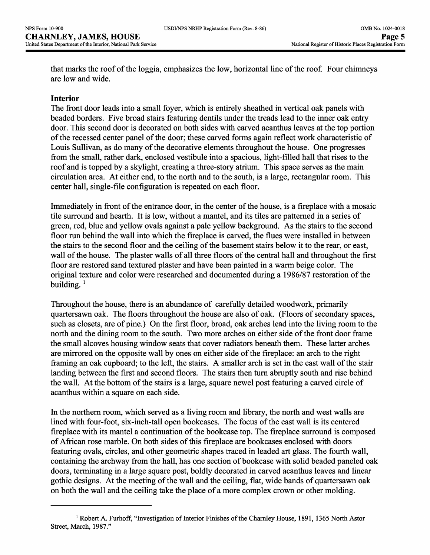that marks the roof of the loggia, emphasizes the low, horizontal line of the roof. Four chimneys are low and wide.

#### **Interior**

The front door leads into a small foyer, which is entirely sheathed in vertical oak panels with beaded borders. Five broad stairs featuring dentils under the treads lead to the inner oak entry door. This second door is decorated on both sides with carved acanthus leaves at the top portion of the recessed center panel of the door; these carved forms again reflect work characteristic of Louis Sullivan, as do many of the decorative elements throughout the house. One progresses *from* the small, rather dark, enclosed vestibule into a spacious, light-filled hall that rises to the roof and is topped by a skylight, creating a three-story atrium. This space serves as the main circulation area. At either end, to the north and to the south, is a large, rectangular room. This center hall, single-file configuration is repeated on each floor.

Immediately in front of the entrance door, in the center of the house, is a fireplace with a mosaic tile surround and hearth. It is low, without a mantel, and its tiles are patterned in a series of green, red, blue and yellow ovals against a pale yellow background. As the stairs to the second floor run behind the wall into which the fireplace is carved, the flues were installed in between the stairs to the second floor and the ceiling of the basement stairs below it to the rear, or east, wall of the house. The plaster walls of all three floors of the central hall and throughout the first floor are restored sand textured plaster and have been painted in a warm beige color. The original texture and color were researched and documented during a 1986/87 restoration of the building. *<sup>l</sup>*

Throughout the house, there is an abundance of carefully detailed woodwork, primarily quartersawn oak. The floors throughout the house are also of oak. (Floors of secondary spaces, such as closets, are of pine.) On the first floor, broad, oak arches lead into the living room to the north and the dining room to the south. Two more arches on either side of the front door frame the small alcoves housing window seats that cover radiators beneath them. These latter arches are mirrored on the opposite wall by ones on either side of the fireplace: an arch to the right framing an oak cupboard; to the left, the stairs. A smaller arch is set in the east wall of the stair landing between the first and second floors. The stairs then turn abruptly south and rise behind the wall. At the bottom of the stairs is a large, square newel post featuring a carved circle of acanthus within a square on each side.

In the northern room, which served as a living room and library, the north and west walls are lined with four-foot, six-inch-tall open bookcases. The focus of the east wall is its centered fireplace with its mantel a continuation of the bookcase top. The fireplace surround is composed of African rose marble. On both sides of this fireplace are bookcases enclosed with doors featuring ovals, circles, and other geometric shapes traced in leaded art glass. The fourth wall, containing the archway from the hall, has one section of bookcase with solid beaded paneled oak doors, terminating in a large square post, boldly decorated in carved acanthus leaves and linear gothic designs. At the meeting of the wall and the ceiling, flat, wide bands of quartersawn oak on both the wall and the ceiling take the place of a more complex crown or other molding.

<sup>1</sup> Robert A. Furhoff, "Investigation of Interior Finishes of the Charnley House, 1891, 1365 North Astor Street, March, 1987."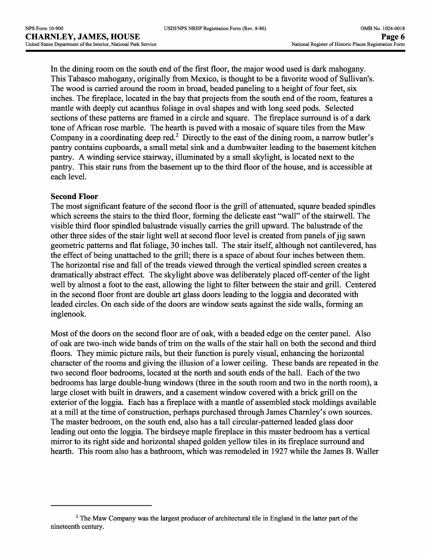In the dining room on the south end of the first floor, the major wood used is dark mahogany. This Tabasco mahogany, originally from Mexico, is thought to be a favorite wood of Sullivan's. The wood is carried around the room in broad, beaded paneling to a height of four feet, six inches. The fireplace, located in the bay that projects from the south end of the room, features a mantle with deeply cut acanthus foliage in oval shapes and with long seed pods. Selected sections of these patterns are framed in a circle and square. The fireplace surround is of a dark tone of African rose marble. The hearth is paved with a mosaic of square tiles from the Maw Company in a coordinating deep red.<sup>2</sup> Directly to the east of the dining room, a narrow butler's pantry contains cupboards, a small metal sink and a dumbwaiter leading to the basement kitchen pantry. A winding service stairway, illuminated by a small skylight, is located next to the pantry. This stair runs from the basement up to the third floor of the house, and is accessible at each level.

#### **Second Floor**

The most significant feature of the second floor is the grill of attenuated, square beaded spindles which screens the stairs to the third floor, forming the delicate east "wall" of the stairwell. The visible third floor spindled balustrade visually carries the grill upward. The balustrade of the other three sides of the stair light well at second floor level is created from panels of jig sawn geometric patterns and flat foliage, 30 inches tall. The stair itself, although not cantilevered, has the effect of being unattached to the grill; there is a space of about four inches between them. The horizontal rise and fall of the treads viewed through the vertical spindled screen creates a dramatically abstract effect. The skylight above was deliberately placed off-center of the light well by almost a foot to the east, allowing the light to filter between the stair and grill. Centered in the second floor front are double art glass doors leading to the loggia and decorated with leaded circles. On each side of the doors are window seats against the side walls, forming an inglenook.

Most of the doors on the second floor are of oak, with a beaded edge on the center panel. Also of oak are two-inch wide bands of trim on the walls of the stair hall on both the second and third floors. They mimic picture rails, but their function is purely visual, enhancing the horizontal character of the rooms and giving the illusion of a lower ceiling. These bands are repeated in the two second floor bedrooms, located at the north and south ends of the hall. Each of the two bedrooms has large double-hung windows (three in the south room and two in the north room), a large closet with built in drawers, and a casement window covered with a brick grill on the exterior of the loggia. Each has a fireplace with a mantle of assembled stock moldings available at a mill at the time of construction, perhaps purchased through James Charnley's own sources. The master bedroom, on the south end, also has a tall circular-patterned leaded glass door leading out onto the loggia. The birdseye maple fireplace in this master bedroom has a vertical mirror to its right side and horizontal shaped golden yellow tiles in its fireplace surround and hearth. This room also has a bathroom, which was remodeled in 1927 while the James B. Waller

<sup>&</sup>lt;sup>2</sup> The Maw Company was the largest producer of architectural tile in England in the latter part of the nineteenth century.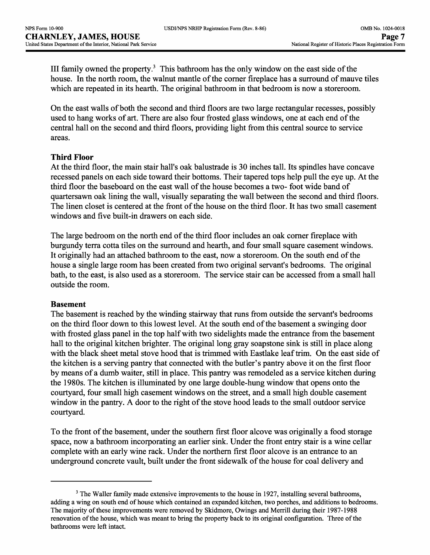| USDI/NPS NRHP Registration Form (Rev. 8-86) |  |  |  |
|---------------------------------------------|--|--|--|
|---------------------------------------------|--|--|--|

III family owned the property. $3$  This bathroom has the only window on the east side of the house. In the north room, the walnut mantle of the corner fireplace has a surround of mauve tiles which are repeated in its hearth. The original bathroom in that bedroom is now a storeroom.

On the east walls of both the second and third floors are two large rectangular recesses, possibly used to hang works of art. There are also four frosted glass windows, one at each end of the central hall on the second and third floors, providing light from this central source to service areas.

## **Third Floor**

At the third floor, the main stair hall's oak balustrade is 30 inches tall. Its spindles have concave recessed panels on each side toward their bottoms. Their tapered tops help pull the eye up. At the third floor the baseboard on the east wall of the house becomes a two- foot wide band of quartersawn oak lining the wall, visually separating the wall between the second and third floors. The linen closet is centered at the front of the house on the third floor. It has two small casement windows and five built-in drawers on each side.

The large bedroom on the north end of the third floor includes an oak corner fireplace with burgundy terra cotta tiles on the surround and hearth, and four small square casement windows. It originally had an attached bathroom to the east, now a storeroom. On the south end of the house a single large room has been created from two original servant's bedrooms. The original bath, to the east, is also used as a storeroom. The service stair can be accessed from a small hall outside the room.

## **Basement**

The basement is reached by the winding stairway that runs from outside the servant's bedrooms on the third floor down to this lowest level. At the south end of the basement a swinging door with frosted glass panel in the top half with two sidelights made the entrance from the basement hall to the original kitchen brighter. The original long gray soapstone sink is still in place along with the black sheet metal stove hood that is trimmed with Eastlake leaf trim. On the east side of the kitchen is a serving pantry that connected with the butler's pantry above it on the first floor by means of a dumb waiter, still in place. This pantry was remodeled as a service kitchen during the 1980s. The kitchen is illuminated by one large double-hung window that opens onto the courtyard, four small high casement windows on the street, and a small high double casement window in the pantry. A door to the right of the stove hood leads to the small outdoor service courtyard.

To the front of the basement, under the southern first floor alcove was originally a food storage space, now a bathroom incorporating an earlier sink. Under the front entry stair is a wine cellar complete with an early wine rack. Under the northern first floor alcove is an entrance to an underground concrete vault, built under the front sidewalk of the house for coal delivery and

<sup>&</sup>lt;sup>3</sup> The Waller family made extensive improvements to the house in 1927, installing several bathrooms, adding a wing on south end of house which contained an expanded kitchen, two porches, and additions to bedrooms. The majority of these improvements were removed by Skidmore, Owings and Merrill during their 1987-1988 renovation of the house, which was meant to bring the property back to its original configuration. Three of the bathrooms were left intact.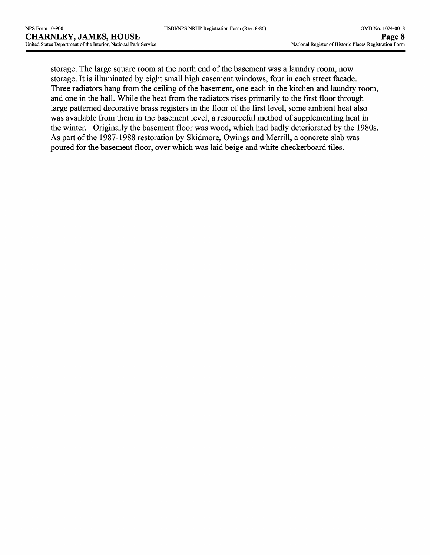storage. The large square room at the north end of the basement was a laundry room, now storage. It is illuminated by eight small high casement windows, four in each street facade. Three radiators hang from the ceiling of the basement, one each in the kitchen and laundry room, and one in the hall. While the heat from the radiators rises primarily to the first floor through large patterned decorative brass registers in the floor of the first level, some ambient heat also was available from them in the basement level, a resourceful method of supplementing heat in the winter. Originally the basement floor was wood, which had badly deteriorated by the 1980s. As part of the 1987-1988 restoration by Skidmore, Owings and Merrill, a concrete slab was poured for the basement floor, over which was laid beige and white checkerboard tiles.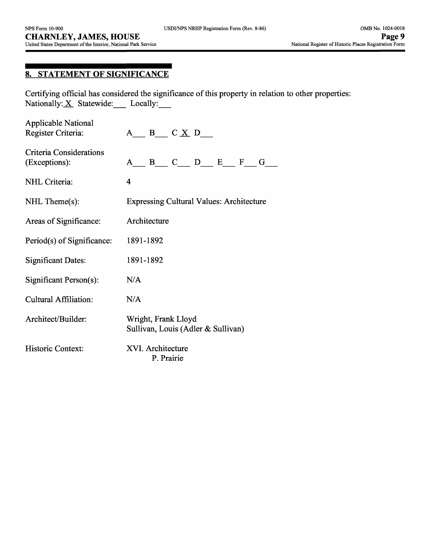# **8. STATEMENT OF SIGNIFICANCE**

Certifying official has considered the significance of this property in relation to other properties: Nationally:  $X$  Statewide: Locally:

| <b>Applicable National</b><br>Register Criteria: | $A \underline{B} \underline{C} \underline{X} \underline{D} \underline{I}$ |  |  |  |  |
|--------------------------------------------------|---------------------------------------------------------------------------|--|--|--|--|
| Criteria Considerations<br>(Exceptions):         | $A$ $B$ $C$ $D$ $E$ $F$ $G$                                               |  |  |  |  |
| NHL Criteria:                                    | $\overline{\mathbf{4}}$                                                   |  |  |  |  |
| $NHL$ Theme $(s)$ :                              | <b>Expressing Cultural Values: Architecture</b>                           |  |  |  |  |
| Areas of Significance:                           | Architecture                                                              |  |  |  |  |
| Period(s) of Significance:                       | 1891-1892                                                                 |  |  |  |  |
| <b>Significant Dates:</b>                        | 1891-1892                                                                 |  |  |  |  |
| Significant Person(s):                           | N/A                                                                       |  |  |  |  |
| <b>Cultural Affiliation:</b>                     | N/A                                                                       |  |  |  |  |
| Architect/Builder:                               | Wright, Frank Lloyd<br>Sullivan, Louis (Adler & Sullivan)                 |  |  |  |  |
| Historic Context:                                | XVI. Architecture<br>P. Prairie                                           |  |  |  |  |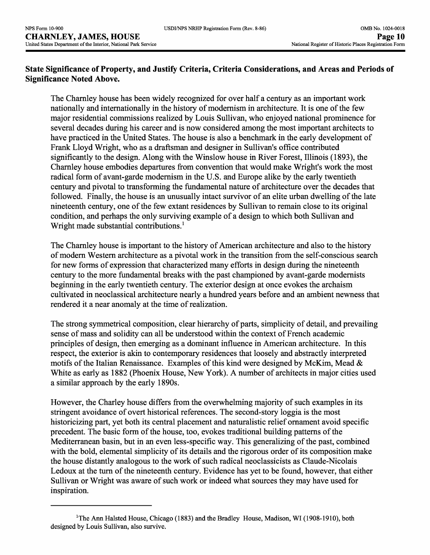## **State Significance of Property, and Justify Criteria, Criteria Considerations, and Areas and Periods of Significance Noted Above.**

The Charnley house has been widely recognized for over half a century as an important work nationally and internationally in the history of modernism in architecture. It is one of the few major residential commissions realized by Louis Sullivan, who enjoyed national prominence for several decades during his career and is now considered among the most important architects to have practiced in the United States. The house is also a benchmark in the early development of Frank Lloyd Wright, who as a draftsman and designer in Sullivan's office contributed significantly to the design. Along with the Winslow house in River Forest, Illinois (1893), the Charnley house embodies departures from convention that would make Wright's work the most radical form of avant-garde modernism in the U.S. and Europe alike by the early twentieth century and pivotal to transforming the fundamental nature of architecture over the decades that followed. Finally, the house is an unusually intact survivor of an elite urban dwelling of the late nineteenth century, one of the few extant residences by Sullivan to remain close to its original condition, and perhaps the only surviving example of a design to which both Sullivan and Wright made substantial contributions.<sup>1</sup>

The Charnley house is important to the history of American architecture and also to the history of modern Western architecture as a pivotal work in the transition from the self-conscious search for new forms of expression that characterized many efforts in design during the nineteenth century to the more fundamental breaks with the past championed by avant-garde modernists beginning in the early twentieth century. The exterior design at once evokes the archaism cultivated in neoclassical architecture nearly a hundred years before and an ambient newness that rendered it a near anomaly at the time of realization.

The strong symmetrical composition, clear hierarchy of parts, simplicity of detail, and prevailing sense of mass and solidity can all be understood within the context of French academic principles of design, then emerging as a dominant influence in American architecture. In this respect, the exterior is akin to contemporary residences that loosely and abstractly interpreted motifs of the Italian Renaissance. Examples of this kind were designed by McKim, Mead & White as early as 1882 (Phoenix House, New York). A number of architects in major cities used a similar approach by the early 1890s.

However, the Charley house differs from the overwhelming majority of such examples in its stringent avoidance of overt historical references. The second-story loggia is the most historicizing part, yet both its central placement and naturalistic relief ornament avoid specific precedent. The basic form of the house, too, evokes traditional building patterns of the Mediterranean basin, but in an even less-specific way. This generalizing of the past, combined with the bold, elemental simplicity of its details and the rigorous order of its composition make the house distantly analogous to the work of such radical neoclassicists as Claude-Nicolais Ledoux at the turn of the nineteenth century. Evidence has yet to be found, however, that either Sullivan or Wright was aware of such work or indeed what sources they may have used for inspiration.

 $1$ <sup>T</sup>he Ann Halsted House, Chicago (1883) and the Bradley House, Madison, WI (1908-1910), both designed by Louis Sullivan, also survive.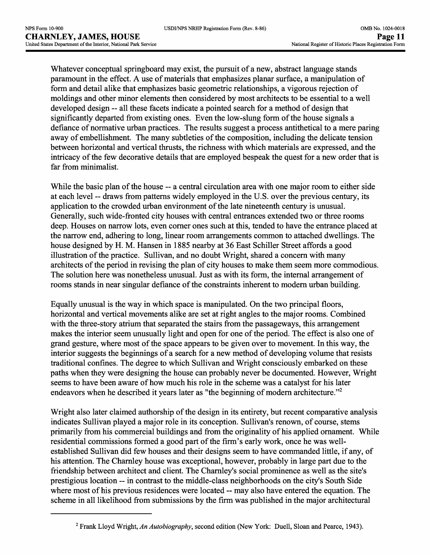Whatever conceptual springboard may exist, the pursuit of a new, abstract language stands paramount in the effect. A use of materials that emphasizes planar surface, a manipulation of form and detail alike that emphasizes basic geometric relationships, a vigorous rejection of moldings and other minor elements then considered by most architects to be essential to a well developed design -- all these facets indicate a pointed search for a method of design that significantly departed from existing ones. Even the low-slung form of the house signals a defiance of normative urban practices. The results suggest a process antithetical to a mere paring away of embellishment. The many subtleties of the composition, including the delicate tension between horizontal and vertical thrusts, the richness with which materials are expressed, and the intricacy of the few decorative details that are employed bespeak the quest for a new order that is far from minimalist.

While the basic plan of the house -- a central circulation area with one major room to either side at each level -- draws from patterns widely employed in the U.S. over the previous century, its application to the crowded urban environment of the late nineteenth century is unusual. Generally, such wide-fronted city houses with central entrances extended two or three rooms deep. Houses on narrow lots, even corner ones such at this, tended to have the entrance placed at the narrow end, adhering to long, linear room arrangements common to attached dwellings. The house designed by H. M. Hansen in 1885 nearby at 36 East Schiller Street affords a good illustration of the practice. Sullivan, and no doubt Wright, shared a concern with many architects of the period in revising the plan of city houses to make them seem more commodious. The solution here was nonetheless unusual. Just as with its form, the internal arrangement of rooms stands in near singular defiance of the constraints inherent to modern urban building.

Equally unusual is the way in which space is manipulated. On the two principal floors, horizontal and vertical movements alike are set at right angles to the major rooms. Combined with the three-story atrium that separated the stairs from the passageways, this arrangement makes the interior seem unusually light and open for one of the period. The effect is also one of grand gesture, where most of the space appears to be given over to movement. In this way, the interior suggests the beginnings of a search for a new method of developing volume that resists traditional confines. The degree to which Sullivan and Wright consciously embarked on these paths when they were designing the house can probably never be documented. However, Wright seems to have been aware of how much his role in the scheme was a catalyst for his later endeavors when he described it years later as "the beginning of modern architecture."<sup>2</sup>

Wright also later claimed authorship of the design in its entirety, but recent comparative analysis indicates Sullivan played a major role in its conception. Sullivan's renown, of course, stems primarily from his commercial buildings and from the originality of his applied ornament. While residential commissions formed a good part of the firm's early work, once he was wellestablished Sullivan did few houses and their designs seem to have commanded little, if any, of his attention. The Charnley house was exceptional, however, probably in large part due to the friendship between architect and client. The Charnley's social prominence as well as the site's prestigious location ~ in contrast to the middle-class neighborhoods on the city's South Side where most of his previous residences were located -- may also have entered the equation. The scheme in all likelihood from submissions by the firm was published in the major architectural

Frank Lloyd Wright, *An Autobiography,* second edition (New York: Duell, Sloan and Pearce, 1943).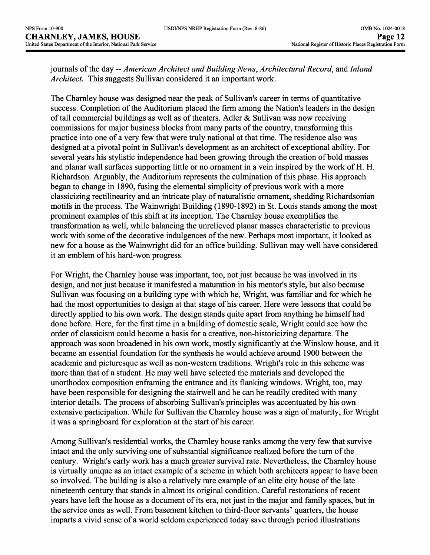journals of the day -- *American Architect and Building News, Architectural Record, and Inland Architect.* This suggests Sullivan considered it an important work.

The Charnley house was designed near the peak of Sullivan's career in terms of quantitative success. Completion of the Auditorium placed the firm among the Nation's leaders in the design of tall commercial buildings as well as of theaters. Adler & Sullivan was now receiving commissions for major business blocks from many parts of the country, transforming this practice into one of a very few that were truly national at that time. The residence also was designed at a pivotal point in Sullivan's development as an architect of exceptional ability. For several years his stylistic independence had been growing through the creation of bold masses and planar wall surfaces supporting little or no ornament in a vein inspired by the work of H. H. Richardson. Arguably, the Auditorium represents the culmination of this phase. His approach began to change in 1890, fusing the elemental simplicity of previous work with a more classicizing rectilinearity and an intricate play of naturalistic ornament, shedding Richardsonian motifs in the process. The Wainwright Building (1890-1892) in St. Louis stands among the most prominent examples of this shift at its inception. The Charnley house exemplifies the transformation as well, while balancing the unrelieved planar masses characteristic to previous work with some of the decorative indulgences of the new. Perhaps most important, it looked as new for a house as the Wainwright did for an office building. Sullivan may well have considered it an emblem of his hard-won progress.

For Wright, the Charnley house was important, too, not just because he was involved in its design, and not just because it manifested a maturation in his mentor's style, but also because Sullivan was focusing on a building type with which he, Wright, was familiar and for which he had the most opportunities to design at that stage of his career. Here were lessons that could be directly applied to his own work. The design stands quite apart from anything he himself had done before. Here, for the first time in a building of domestic scale, Wright could see how the order of classicism could become a basis for a creative, non-historicizing departure. The approach was soon broadened in his own work, mostly significantly at the Winslow house, and it became an essential foundation for the synthesis he would achieve around 1900 between the academic and picturesque as well as non-western traditions. Wright's role in this scheme was more than that of a student. He may well have selected the materials and developed the unorthodox composition enframing the entrance and its flanking windows. Wright, too, may have been responsible for designing the stairwell and he can be readily credited with many interior details. The process of absorbing Sullivan's principles was accentuated by his own extensive participation. While for Sullivan the Charnley house was a sign of maturity, for Wright it was a springboard for exploration at the start of his career.

Among Sullivan's residential works, the Charnley house ranks among the very few that survive intact and the only surviving one of substantial significance realized before the turn of the century. Wright's early work has a much greater survival rate. Nevertheless, the Charnley house is virtually unique as an intact example of a scheme in which both architects appear to have been so involved. The building is also a relatively rare example of an elite city house of the late nineteenth century that stands in almost its original condition. Careful restorations of recent years have left the house as a document of its era, not just in the major and family spaces, but in the service ones as well. From basement kitchen to third-floor servants' quarters, the house imparts a vivid sense of a world seldom experienced today save through period illustrations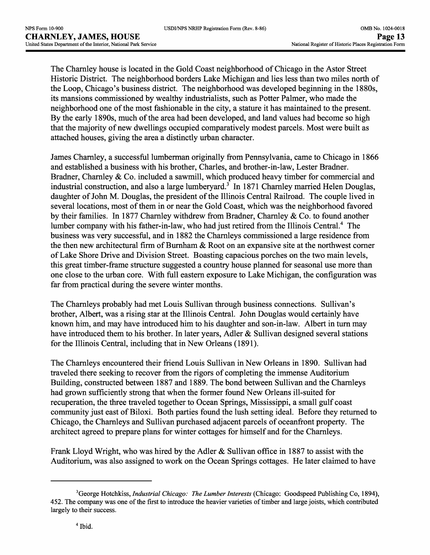The Charnley house is located in the Gold Coast neighborhood of Chicago in the Astor Street Historic District. The neighborhood borders Lake Michigan and lies less than two miles north of the Loop, Chicago's business district. The neighborhood was developed beginning in the 1880s, its mansions commissioned by wealthy industrialists, such as Potter Palmer, who made the neighborhood one of the most fashionable in the city, a stature it has maintained to the present. By the early 1890s, much of the area had been developed, and land values had become so high that the majority of new dwellings occupied comparatively modest parcels. Most were built as attached houses, giving the area a distinctly urban character.

James Charnley, a successful lumberman originally from Pennsylvania, came to Chicago in 1866 and established a business with his brother, Charles, and brother-in-law, Lester Bradner. Bradner, Charnley & Co. included a sawmill, which produced heavy timber for commercial and industrial construction, and also a large lumberyard.<sup>3</sup> In 1871 Charnley married Helen Douglas, daughter of John M. Douglas, the president of the Illinois Central Railroad. The couple lived in several locations, most of them in or near the Gold Coast, which was the neighborhood favored by their families. In 1877 Charnley withdrew from Bradner, Charnley & Co. to found another lumber company with his father-in-law, who had just retired from the Illinois Central.<sup>4</sup> The business was very successful, and in 1882 the Charnleys commissioned a large residence from the then new architectural firm of Burnham & Root on an expansive site at the northwest corner of Lake Shore Drive and Division Street. Boasting capacious porches on the two main levels, this great timber-frame structure suggested a country house planned for seasonal use more than one close to the urban core. With full eastern exposure to Lake Michigan, the configuration was far from practical during the severe winter months.

The Charnleys probably had met Louis Sullivan through business connections. Sullivan's brother, Albert, was a rising star at the Illinois Central. John Douglas would certainly have known him, and may have introduced him to his daughter and son-in-law. Albert in turn may have introduced them to his brother. In later years, Adler & Sullivan designed several stations for the Illinois Central, including that in New Orleans (1891).

The Charnleys encountered their friend Louis Sullivan in New Orleans in 1890. Sullivan had traveled there seeking to recover from the rigors of completing the immense Auditorium Building, constructed between 1887 and 1889. The bond between Sullivan and the Charnleys had grown sufficiently strong that when the former found New Orleans ill-suited for recuperation, the three traveled together to Ocean Springs, Mississippi, a small gulf coast community just east of Biloxi. Both parties found the lush setting ideal. Before they returned to Chicago, the Charnleys and Sullivan purchased adjacent parcels of oceanfront property. The architect agreed to prepare plans for winter cottages for himself and for the Charnleys.

Frank Lloyd Wright, who was hired by the Adler & Sullivan office in 1887 to assist with the Auditorium, was also assigned to work on the Ocean Springs cottages. He later claimed to have

<sup>3</sup>George Hotchkiss, *Industrial Chicago: The Lumber Interests* (Chicago: Goodspeed Publishing Co, 1894), 452. The company was one of the first to introduce the heavier varieties of timber and large joists, which contributed largely to their success.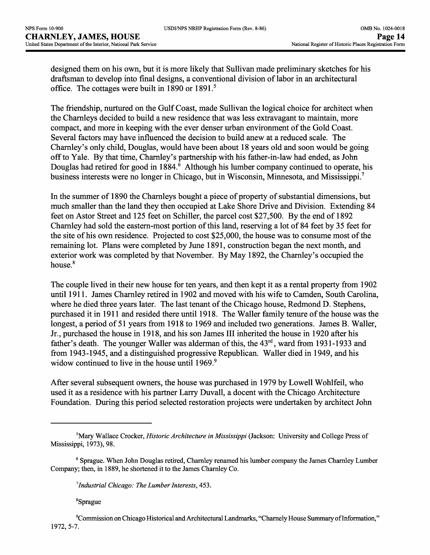designed them on his own, but it is more likely that Sullivan made preliminary sketches for his draftsman to develop into final designs, a conventional division of labor in an architectural office. The cottages were built in 1890 or 1891.<sup>5</sup>

The friendship, nurtured on the Gulf Coast, made Sullivan the logical choice for architect when the Charnleys decided to build a new residence that was less extravagant to maintain, more compact, and more in keeping with the ever denser urban environment of the Gold Coast. Several factors may have influenced the decision to build anew at a reduced scale. The Charnley's only child, Douglas, would have been about 18 years old and soon would be going off to Yale. By that time, Charnley's partnership with his father-in-law had ended, as John Douglas had retired for good in 1884.<sup>6</sup> Although his lumber company continued to operate, his business interests were no longer in Chicago, but in Wisconsin, Minnesota, and Mississippi.7

In the summer of 1890 the Charnleys bought a piece of property of substantial dimensions, but much smaller than the land they then occupied at Lake Shore Drive and Division. Extending 84 feet on Astor Street and 125 feet on Schiller, the parcel cost \$27,500. By the end of 1892 Charnley had sold the eastern-most portion of this land, reserving a lot of 84 feet by 35 feet for the site of his own residence. Projected to cost \$25,000, the house was to consume most of the remaining lot. Plans were completed by June 1891, construction began the next month, and exterior work was completed by that November. By May 1892, the Charnley's occupied the house.<sup>8</sup>

The couple lived in their new house for ten years, and then kept it as a rental property from 1902 until 1911. James Charnley retired in 1902 and moved with his wife to Camden, South Carolina, where he died three years later. The last tenant of the Chicago house, Redmond D. Stephens, purchased it in 1911 and resided there until 1918. The Waller family tenure of the house was the longest, a period of 51 years from 1918 to 1969 and included two generations. James B. Waller, Jr., purchased the house in 1918, and his son James III inherited the house in 1920 after his father's death. The younger Waller was alderman of this, the  $43<sup>rd</sup>$ , ward from 1931-1933 and from 1943-1945, and a distinguished progressive Republican. Waller died in 1949, and his widow continued to live in the house until 1969.<sup>9</sup>

After several subsequent owners, the house was purchased in 1979 by Lowell Wohlfeil, who used it as a residence with his partner Larry Duvall, a decent with the Chicago Architecture Foundation. During this period selected restoration projects were undertaken by architect John

8Sprague

<sup>5</sup>Mary Wallace Crocker, *Historic Architecture in Mississippi* (Jackson: University and College Press of Mississippi, 1973), 98.

<sup>6</sup> Sprague. When John Douglas retired, Charnley renamed his lumber company the James Charnley Lumber Company; then, in 1889, he shortened it to the James Charnley Co.

*<sup>^</sup>Industrial Chicago: The Lumber Interests,* 453.

Commission on Chicago Historical and Architectural Landmarks, "Charnely House Summary of Information," 1972, 5-7.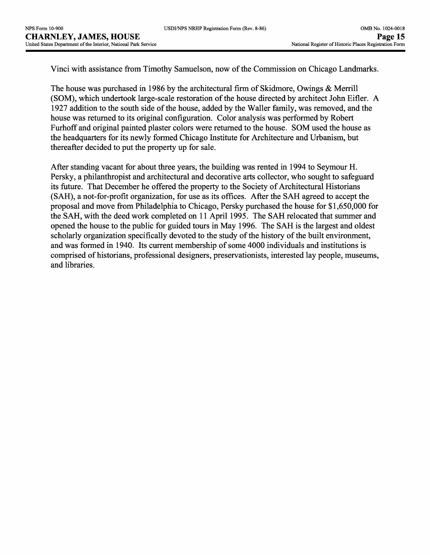| USDI/NPS NRHP Registration Form (Rev. 8-86) |  |
|---------------------------------------------|--|
|---------------------------------------------|--|

Vinci with assistance from Timothy Samuelson, now of the Commission on Chicago Landmarks.

The house was purchased in 1986 by the architectural firm of Skidmore, Owings & Merrill (SOM), which undertook large-scale restoration of the house directed by architect John Eifler. A 1927 addition to the south side of the house, added by the Waller family, was removed, and the house was returned to its original configuration. Color analysis was performed by Robert Furhoff and original painted plaster colors were returned to the house. SOM used the house as the headquarters for its newly formed Chicago Institute for Architecture and Urbanism, but thereafter decided to put the property up for sale.

After standing vacant for about three years, the building was rented in 1994 to Seymour H. Persky, a philanthropist and architectural and decorative arts collector, who sought to safeguard its future. That December he offered the property to the Society of Architectural Historians (SAH), a not-for-profit organization, for use as its offices. After the SAH agreed to accept the proposal and move from Philadelphia to Chicago, Persky purchased the house for \$1,650,000 for the SAH, with the deed work completed on 11 April 1995. The SAH relocated that summer and opened the house to the public for guided tours in May 1996. The SAH is the largest and oldest scholarly organization specifically devoted to the study of the history of the built environment, and was formed in 1940. Its current membership of some 4000 individuals and institutions is comprised of historians, professional designers, preservationists, interested lay people, museums, and libraries.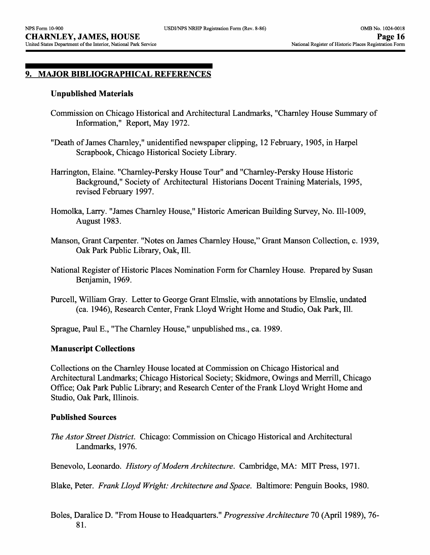## **9. MAJOR BIBLIOGRAPHICAL REFERENCES**

#### **Unpublished Materials**

- Commission on Chicago Historical and Architectural Landmarks, "Charnley House Summary of Information," Report, May 1972.
- "Death of James Charnley," unidentified newspaper clipping, 12 February, 1905, in Harpel Scrapbook, Chicago Historical Society Library.

Harrington, Elaine. "Charnley-Persky House Tour" and "Charnley-Persky House Historic Background," Society of Architectural Historians Docent Training Materials, 1995, revised February 1997.

- Homolka, Larry. "James Charnley House," Historic American Building Survey, No. 111-1009, August 1983.
- Manson, Grant Carpenter. "Notes on James Charnley House," Grant Manson Collection, c. 1939, Oak Park Public Library, Oak, 111.
- National Register of Historic Places Nomination Form for Charnley House. Prepared by Susan Benjamin, 1969.
- Purcell, William Gray. Letter to George Grant Elmslie, with annotations by Elmslie, undated (ca. 1946), Research Center, Frank Lloyd Wright Home and Studio, Oak Park, 111.

Sprague, Paul E., "The Charnley House," unpublished ms., ca. 1989.

#### **Manuscript Collections**

Collections on the Charnley House located at Commission on Chicago Historical and Architectural Landmarks; Chicago Historical Society; Skidmore, Owings and Merrill, Chicago Office; Oak Park Public Library; and Research Center of the Frank Lloyd Wright Home and Studio, Oak Park, Illinois.

#### **Published Sources**

*The Astor Street District.* Chicago: Commission on Chicago Historical and Architectural Landmarks, 1976.

Benevolo, Leonardo. *History of Modern Architecture.* Cambridge, MA: MIT Press, 1971.

Blake, Peter. *Frank Lloyd Wright: Architecture and Space.* Baltimore: Penguin Books, 1980.

Boles, Daralice D. "From House to Headquarters." *Progressive Architecture* 70 (April 1989), 76- 81.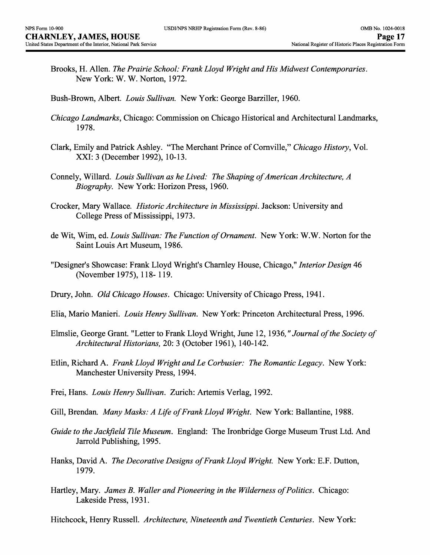- Brooks, H. Alien. *The Prairie School: Frank Lloyd Wright and His Midwest Contemporaries.*  New York: W. W. Norton, 1972.
- Bush-Brown, Albert. *Louis Sullivan.* New York: George Barziller, 1960.
- *Chicago Landmarks.,* Chicago: Commission on Chicago Historical and Architectural Landmarks, 1978.
- Clark, Emily and Patrick Ashley. "The Merchant Prince of Cornville," *Chicago History,* Vol. XXI: 3 (December 1992), 10-13.
- Connely, Willard. *Louis Sullivan as he Lived: The Shaping of American Architecture, A Biography.* New York: Horizon Press, 1960.
- Crocker, Mary Wallace. *Historic Architecture in Mississippi.* Jackson: University and College Press of Mississippi, 1973.
- de Wit, Wim, ed. *Louis Sullivan: The Function of Ornament.* New York: W.W. Norton for the Saint Louis Art Museum, 1986.
- "Designer's Showcase: Frank Lloyd Wright's Charnley House, Chicago," *Interior Design* 46 (November 1975), 118-119.
- Drury, John. *Old Chicago Houses.* Chicago: University of Chicago Press, 1941.
- Elia, Mario Manieri. *Louis Henry Sullivan.* New York: Princeton Architectural Press, 1996.
- Elmslie, George Grant. "Letter to Frank Lloyd Wright, June 12, 1936, *"Journal of the Society of Architectural Historians,* 20: 3 (October 1961), 140-142.
- Etlin, Richard A. *Frank Lloyd Wright and Le Corbusier: The Romantic Legacy.* New York: Manchester University Press, 1994.
- Frei, Hans. *Louis Henry Sullivan.* Zurich: Artemis Verlag, 1992.
- Gill, Brendan. *Many Masks: A Life of Frank Lloyd Wright.* New York: Ballantine, 1988.
- *Guide to the Jackfleld Tile Museum.* England: The Ironbridge Gorge Museum Trust Ltd. And Jarrold Publishing, 1995.
- Hanks, David A. *The Decorative Designs of Frank Lloyd Wright.* New York: E.F. Dutton, 1979.
- Hartley, Mary. *James B. Waller and Pioneering in the Wilderness of Politics.* Chicago: Lakeside Press, 1931.

Hitchcock, Henry Russell. *Architecture, Nineteenth and Twentieth Centuries.* New York: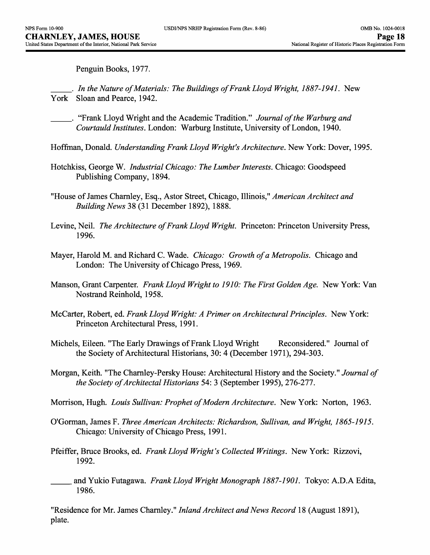Penguin Books, 1977.

- \_\_\_. *In the Nature of Materials: The Buildings of Frank Lloyd Wright, 1887-1941.* New York Sloan and Pearce, 1942.
	- \_\_\_. "Frank Lloyd Wright and the Academic Tradition." *Journal of the Warburg and Courtauld Institutes.* London: Warburg Institute, University of London, 1940.
- Hoffman, Donald. *Understanding Frank Lloyd Wright's Architecture.* New York: Dover, 1995.
- Hotchkiss, George W. *Industrial Chicago: The Lumber Interests.* Chicago: Goodspeed Publishing Company, 1894.
- "House of James Charnley, Esq., Astor Street, Chicago, Illinois," *American Architect and Building News* 38 (31 December 1892), 1888.
- Levine, Neil. *The Architecture of Frank Lloyd Wright.* Princeton: Princeton University Press, 1996.
- Mayer, Harold M. and Richard C. Wade. *Chicago: Growth of a Metropolis.* Chicago and London: The University of Chicago Press, 1969.
- Manson, Grant Carpenter. *Frank Lloyd Wright to 1910: The First Golden Age.* New York: Van Nostrand Reinhold, 1958.
- McCarter, Robert, ed. *Frank Lloyd Wright: A Primer on Architectural Principles.* New York: Princeton Architectural Press, 1991.
- Michels, Eileen. "The Early Drawings of Frank Lloyd Wright Reconsidered." Journal of the Society of Architectural Historians, 30: 4 (December 1971), 294-303.
- Morgan, Keith. "The Charnley-Persky House: Architectural History and the Society." *Journal of the Society of Architectal Historians* 54: 3 (September 1995), 276-277.
- Morrison, Hugh. *Louis Sullivan: Prophet of Modern Architecture.* New York: Norton, 1963.
- O'Gorman, James F. *Three American Architects: Richardson, Sullivan, and Wright, 1865-1915.*  Chicago: University of Chicago Press, 1991.
- Pfeiffer, Bruce Brooks, ed. *Frank Lloyd Wright's Collected Writings.* New York: Rizzovi, 1992.
- \_\_\_ and Yukio Futagawa. *Frank Lloyd Wright Monograph 1887-1901.* Tokyo: A.D.A Edita, 1986.

"Residence for Mr. James Charnley." *Inland Architect and News Record* 18 (August 1891), plate.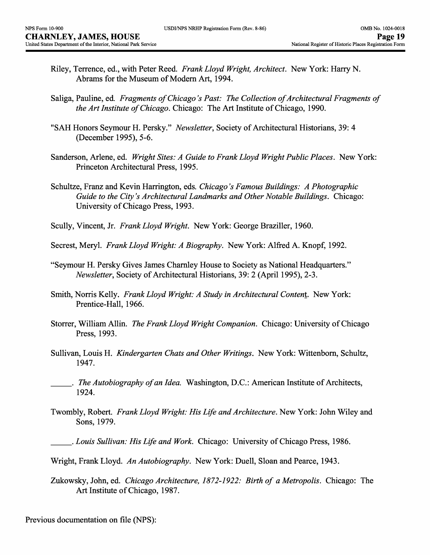- Riley, Terrence, ed., with Peter Reed. *Frank Lloyd Wright, Architect.* New York: Harry N. Abrams for the Museum of Modern Art, 1994.
- Saliga, Pauline, ed. *Fragments of Chicago's Past: The Collection of Architectural Fragments of the Art Institute of Chicago.* Chicago: The Art Institute of Chicago, 1990.
- "SAH Honors Seymour H. Persky." *Newsletter,* Society of Architectural Historians, 39: 4 (December 1995), 5-6.
- Sanderson, Arlene, ed. *Wright Sites: A Guide to Frank Lloyd Wright Public Places.* New York: Princeton Architectural Press, 1995.
- Schultze, Franz and Kevin Harrington, eds. *Chicago's Famous Buildings: A Photographic Guide to the City's Architectural Landmarks and Other Notable Buildings.* Chicago: University of Chicago Press, 1993.
- Scully, Vincent, Jr. *Frank Lloyd Wright.* New York: George Braziller, 1960.
- Secrest, Meryl. *Frank Lloyd Wright: A Biography.* New York: Alfred A. Knopf, 1992.
- "Seymour H. Persky Gives James Charnley House to Society as National Headquarters." *Newsletter,* Society of Architectural Historians, 39: 2 (April 1995), 2-3.
- Smith, Norris Kelly. *Frank Lloyd Wright: A Study in Architectural Content.* New York: Prentice-Hall, 1966.
- Storrer, William Allin. *The Frank Lloyd Wright Companion.* Chicago: University of Chicago Press, 1993.
- Sullivan, Louis H. *Kindergarten Chats and Other Writings.* New York: Wittenborn, Schultz, 1947.
- \_\_\_. *The Autobiography of an Idea.* Washington, D.C.: American Institute of Architects, 1924.
- Twombly, Robert. *Frank Lloyd Wright: His Life and Architecture.* New York: John Wiley and Sons, 1979.
- \_\_\_. *Louis Sullivan: His Life and Work.* Chicago: University of Chicago Press, 1986.
- Wright, Frank Lloyd. *An Autobiography.* New York: Duell, Sloan and Pearce, 1943.
- Zukowsky, John, ed. *Chicago Architecture, 1872-1922: Birth of a Metropolis.* Chicago: The Art Institute of Chicago, 1987.

Previous documentation on file (NPS):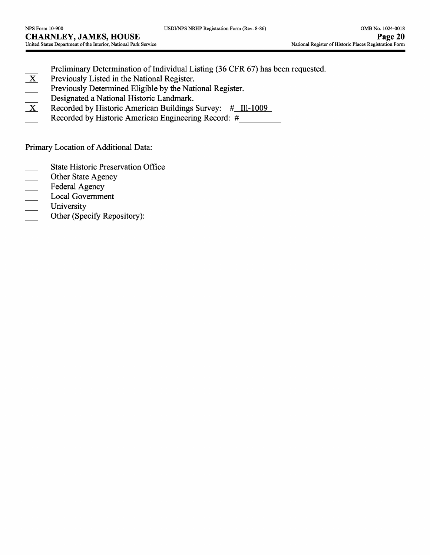- Preliminary Determination of Individual Listing (36 CFR 67) has been requested.<br>Previously Listed in the National Register.
- Previously Listed in the National Register.
- 
- Designated a National Historic Landmark.
- Previously Determined Eligible by the National Register.<br>
Designated a National Historic Landmark.<br>
Recorded by Historic American Buildings Survey:  $\#$ \_Il X Recorded by Historic American Buildings Survey: *#* 111-1009
- Recorded by Historic American Engineering Record: #

Primary Location of Additional Data:

- State Historic Preservation Office
- Other State Agency
- Federal Agency
- Local Government
- University
- $\frac{1}{1}$ Other (Specify Repository):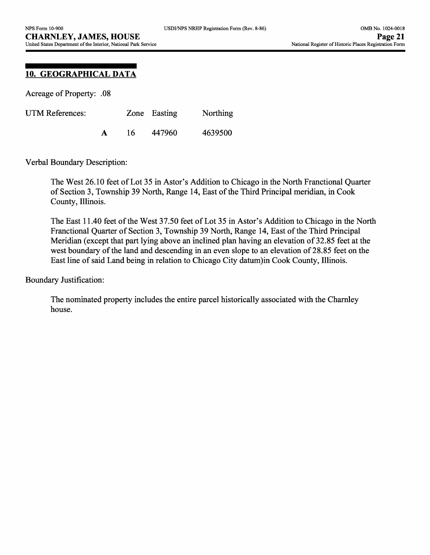# **10. GEOGRAPHICAL DATA**

Acreage of Property: .08

| UTM References: |  |    | Zone Easting | Northing |
|-----------------|--|----|--------------|----------|
|                 |  | 16 | 447960       | 4639500  |

Verbal Boundary Description:

The West 26.10 feet of Lot 35 in Astor's Addition to Chicago in the North Franctional Quarter of Section 3, Township 39 North, Range 14, East of the Third Principal meridian, in Cook County, Illinois.

The East 11.40 feet of the West 37.50 feet of Lot 35 in Astor's Addition to Chicago in the North Franctional Quarter of Section 3, Township 39 North, Range 14, East of the Third Principal Meridian (except that part lying above an inclined plan having an elevation of 32.85 feet at the west boundary of the land and descending in an even slope to an elevation of 28.85 feet on the East line of said Land being in relation to Chicago City datum)in Cook County, Illinois.

Boundary Justification:

The nominated property includes the entire parcel historically associated with the Charnley house.